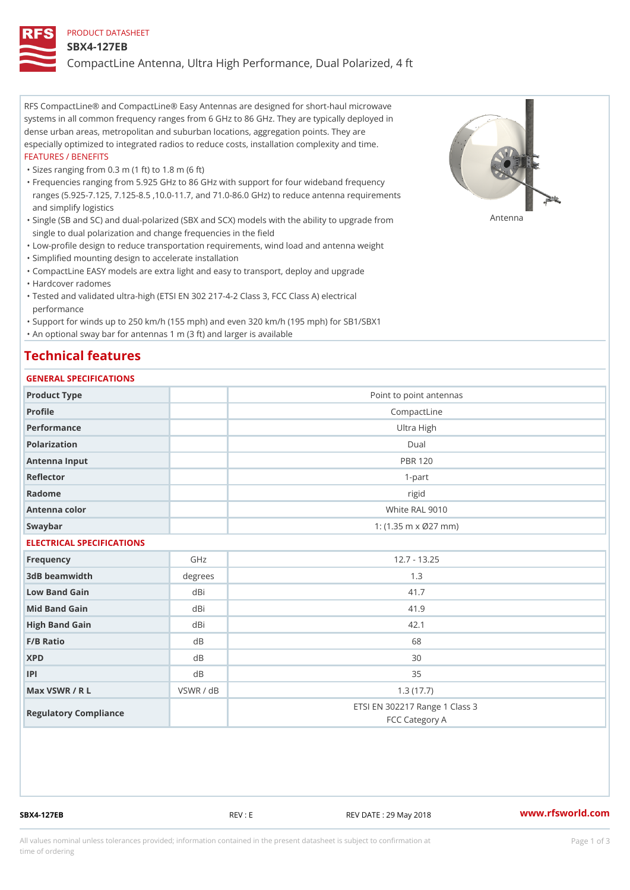#### PRODUCT DATASHEET

#### SBX4-127EB

CompactLine Antenna, Ultra High Performance, Dual Polarized, 4 ft

RFS CompactLine® and CompactLine® Easy Antennas are designed for short-haul microwave systems in all common frequency ranges from 6 GHz to 86 GHz. They are typically deployed in dense urban areas, metropolitan and suburban locations, aggregation points. They are especially optimized to integrated radios to reduce costs, installation complexity and time. FEATURES / BENEFITS

"Sizes ranging from 0.3 m (1 ft) to 1.8 m (6 ft)

Frequencies ranging from 5.925 GHz to 86 GHz with support for four wideband frequency " ranges (5.925-7.125, 7.125-8.5 ,10.0-11.7, and 71.0-86.0 GHz) to reduce antenna requirements and simplify logistics

"Single (SB and SC) and dual-polarized (SBX and SCX) models with the abili $\mathsf{f}_\mathsf{V}^{\eta}$ ttenup $\beta$ grade from single to dual polarization and change frequencies in the field

"Low-profile design to reduce transportation requirements, wind load and antenna weight

"Simplified mounting design to accelerate installation

 "CompactLine EASY models are extra light and easy to transport, deploy and upgrade "Hardcover radomes

Tested and validated ultra-high (ETSI EN 302 217-4-2 Class 3, FCC Class A) electrical " performance

 "Support for winds up to 250 km/h (155 mph) and even 320 km/h (195 mph) for SB1/SBX1 "An optional sway bar for antennas 1 m (3 ft) and larger is available

### Technical features

### GENERAL SPECIFICATIONS

| OLIVERAL OF LOTITOATIONS  |           |                                                  |  |  |
|---------------------------|-----------|--------------------------------------------------|--|--|
| Product Type              |           | Point to point antennas                          |  |  |
| Profile                   |           | CompactLine                                      |  |  |
| Performance               |           | Ultra High                                       |  |  |
| Polarization              |           | $D$ ual                                          |  |  |
| Antenna Input             |           | <b>PBR 120</b>                                   |  |  |
| Reflector                 |           | $1 - p$ art                                      |  |  |
| Radome                    |           | rigid                                            |  |  |
| Antenna color             |           | White RAL 9010                                   |  |  |
| Swaybar                   |           | 1: $(1.35 m \times 027 mm)$                      |  |  |
| ELECTRICAL SPECIFICATIONS |           |                                                  |  |  |
| Frequency                 | GHz       | $12.7 - 13.25$                                   |  |  |
| 3dB beamwidth             | degrees   | 1.3                                              |  |  |
| Low Band Gain             | dBi       | 41.7                                             |  |  |
| Mid Band Gain             | dBi       | 41.9                                             |  |  |
| High Band Gain            | dBi       | 42.1                                             |  |  |
| F/B Ratio                 | d B       | 68                                               |  |  |
| <b>XPD</b>                | d B       | 30                                               |  |  |
| P                         | d B       | 35                                               |  |  |
| Max VSWR / R L            | VSWR / dB | 1.3(17.7)                                        |  |  |
| Regulatory Compliance     |           | ETSI EN 302217 Range 1 Class 3<br>FCC Category A |  |  |

SBX4-127EB REV : E REV DATE : 29 May 2018 [www.](https://www.rfsworld.com)rfsworld.com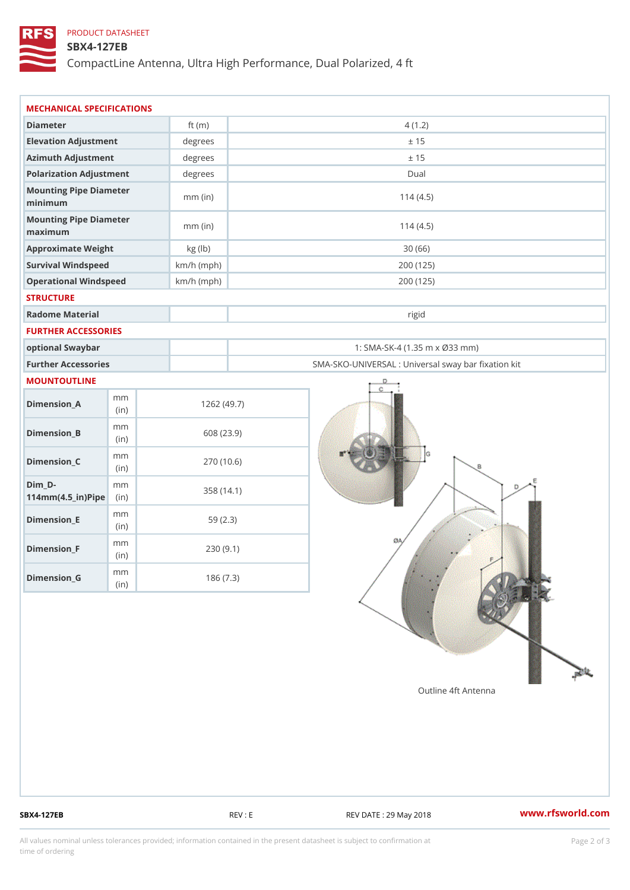## PRODUCT DATASHEET

### SBX4-127EB

CompactLine Antenna, Ultra High Performance, Dual Polarized, 4 ft

| MECHANICAL SPECIFICATIONS                                  |              |                                                   |
|------------------------------------------------------------|--------------|---------------------------------------------------|
| Diameter                                                   | ft $(m)$     | 4(1.2)                                            |
| Elevation Adjustment                                       | $degree$ :   | ± 15                                              |
| Azimuth Adjustment                                         | degrees      | ± 15                                              |
| Polarization Adjustment                                    | $degree$ :   | Dual                                              |
| Mounting Pipe Diameter<br>minimum                          | $mm$ (in)    | 114(4.5)                                          |
| Mounting Pipe Diameter<br>maximum                          | $mm$ (in)    | 114(4.5)                                          |
| Approximate Weight                                         | kg (lb)      | 30(66)                                            |
| Survival Windspeed                                         | $km/h$ (mph) | 200 (125)                                         |
| Operational Windspeed                                      | $km/h$ (mph) | 200 (125)                                         |
| <b>STRUCTURE</b>                                           |              |                                                   |
| Radome Material                                            |              | rigid                                             |
| FURTHER ACCESSORIES                                        |              |                                                   |
| optional Swaybar                                           |              | 1: SMA-SK-4 (1.35 m x Ø33 mm)                     |
| Further Accessories                                        |              | SMA-SKO-UNIVERSAL : Universal sway bar fixation l |
| MOUNTOUTLINE                                               |              |                                                   |
| m m<br>$Dimension_A$<br>(in)                               |              | 1262(49.7)                                        |
| m m<br>$Dimenision_B$<br>(in)                              |              | 608 (23.9)                                        |
| m m<br>$Dimension_C$<br>(i n)                              |              | 270 (10.6)                                        |
| $Dim_D -$<br>m m<br>$114$ m m $(4.5$ _ ir $)$ $R$ ii p $e$ |              | 358 (14.1)                                        |
| m m<br>$Dimension$ = E<br>(i n)                            |              | 59(2.3)                                           |
| m m<br>$Dimension_F$<br>(in)                               |              | 230(9.1)                                          |
| m m<br>$D$ imension $_G$<br>(in)                           |              | 186(7.3)                                          |

SBX4-127EB REV : E REV : REV DATE : 29 May 2018 WWW.rfsworld.com

All values nominal unless tolerances provided; information contained in the present datasheet is subject to Pcapgelio an atio time of ordering